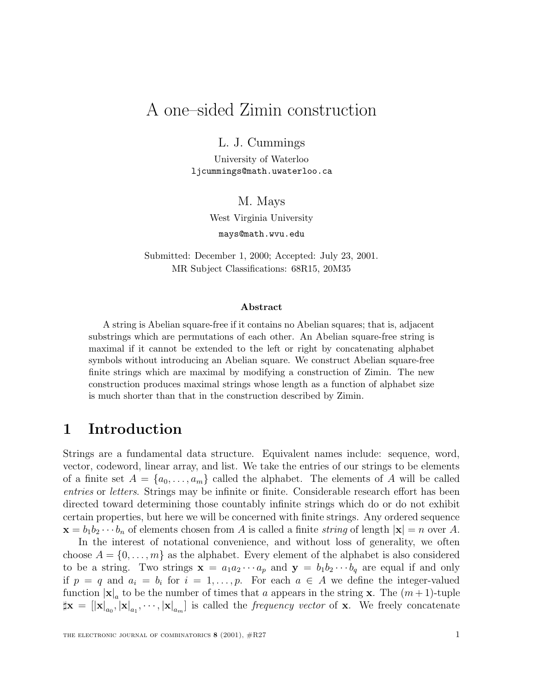# A one–sided Zimin construction

L. J. Cummings

University of Waterloo ljcummings@math.uwaterloo.ca

#### M. Mays

West Virginia University

mays@math.wvu.edu

Submitted: December 1, 2000; Accepted: July 23, 2001. MR Subject Classifications: 68R15, 20M35

#### **Abstract**

A string is Abelian square-free if it contains no Abelian squares; that is, adjacent substrings which are permutations of each other. An Abelian square-free string is maximal if it cannot be extended to the left or right by concatenating alphabet symbols without introducing an Abelian square. We construct Abelian square-free finite strings which are maximal by modifying a construction of Zimin. The new construction produces maximal strings whose length as a function of alphabet size is much shorter than that in the construction described by Zimin.

## **1 Introduction**

Strings are a fundamental data structure. Equivalent names include: sequence, word, vector, codeword, linear array, and list. We take the entries of our strings to be elements of a finite set  $A = \{a_0, \ldots, a_m\}$  called the alphabet. The elements of A will be called entries or letters. Strings may be infinite or finite. Considerable research effort has been directed toward determining those countably infinite strings which do or do not exhibit certain properties, but here we will be concerned with finite strings. Any ordered sequence  $\mathbf{x} = b_1 b_2 \cdots b_n$  of elements chosen from A is called a finite string of length  $|\mathbf{x}| = n$  over A.

In the interest of notational convenience, and without loss of generality, we often choose  $A = \{0, \ldots, m\}$  as the alphabet. Every element of the alphabet is also considered to be a string. Two strings  $\mathbf{x} = a_1 a_2 \cdots a_p$  and  $\mathbf{y} = b_1 b_2 \cdots b_q$  are equal if and only if  $p = q$  and  $a_i = b_i$  for  $i = 1, \ldots, p$ . For each  $a \in A$  we define the integer-valued function  $|\mathbf{x}|_a$  to be the number of times that a appears in the string **x**. The  $(m+1)$ -tuple  $\|\mathbf{x}\| = \|\mathbf{x}\|_{a_0}, \|\mathbf{x}\|_{a_1}, \cdots, \|\mathbf{x}\|_{a_m}$  is called the *frequency vector* of **x**. We freely concatenate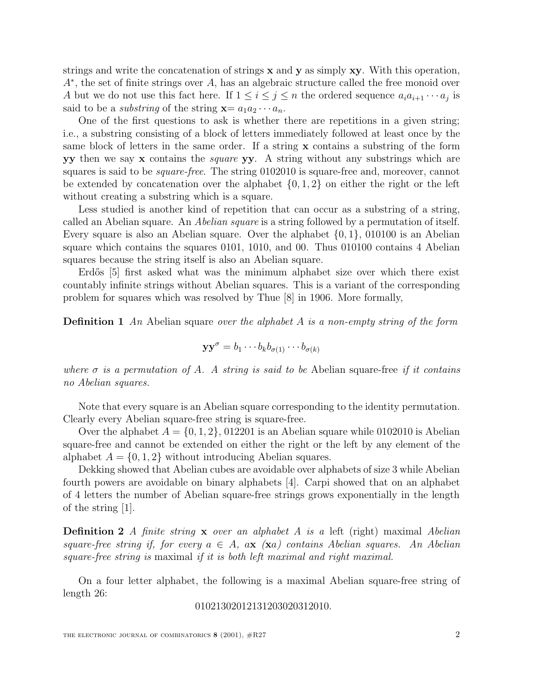strings and write the concatenation of strings **x** and **y** as simply **xy**. With this operation,  $A^*$ , the set of finite strings over A, has an algebraic structure called the free monoid over A but we do not use this fact here. If  $1 \leq i \leq j \leq n$  the ordered sequence  $a_i a_{i+1} \cdots a_j$  is said to be a *substring* of the string  $\mathbf{x} = a_1 a_2 \cdots a_n$ .

One of the first questions to ask is whether there are repetitions in a given string; i.e., a substring consisting of a block of letters immediately followed at least once by the same block of letters in the same order. If a string **x** contains a substring of the form **yy** then we say **x** contains the square **yy**. A string without any substrings which are squares is said to be *square-free*. The string 0102010 is square-free and, moreover, cannot be extended by concatenation over the alphabet  $\{0, 1, 2\}$  on either the right or the left without creating a substring which is a square.

Less studied is another kind of repetition that can occur as a substring of a string, called an Abelian square. An Abelian square is a string followed by a permutation of itself. Every square is also an Abelian square. Over the alphabet  $\{0, 1\}$ , 010100 is an Abelian square which contains the squares 0101, 1010, and 00. Thus 010100 contains 4 Abelian squares because the string itself is also an Abelian square.

Erdős [5] first asked what was the minimum alphabet size over which there exist countably infinite strings without Abelian squares. This is a variant of the corresponding problem for squares which was resolved by Thue [8] in 1906. More formally,

**Definition 1** An Abelian square over the alphabet A is a non-empty string of the form

$$
\mathbf{y}\mathbf{y}^{\sigma} = b_1 \cdots b_k b_{\sigma(1)} \cdots b_{\sigma(k)}
$$

where  $\sigma$  is a permutation of A. A string is said to be Abelian square-free if it contains no Abelian squares.

Note that every square is an Abelian square corresponding to the identity permutation. Clearly every Abelian square-free string is square-free.

Over the alphabet  $A = \{0, 1, 2\}$ , 012201 is an Abelian square while 0102010 is Abelian square-free and cannot be extended on either the right or the left by any element of the alphabet  $A = \{0, 1, 2\}$  without introducing Abelian squares.

Dekking showed that Abelian cubes are avoidable over alphabets of size 3 while Abelian fourth powers are avoidable on binary alphabets [4]. Carpi showed that on an alphabet of 4 letters the number of Abelian square-free strings grows exponentially in the length of the string [1].

**Definition 2** A finite string **x** over an alphabet A is a left (right) maximal Abelian square-free string if, for every  $a \in A$ ,  $a\mathbf{x}$  ( $\mathbf{x}a$ ) contains Abelian squares. An Abelian square-free string is maximal if it is both left maximal and right maximal.

On a four letter alphabet, the following is a maximal Abelian square-free string of length 26:

01021302012131203020312010.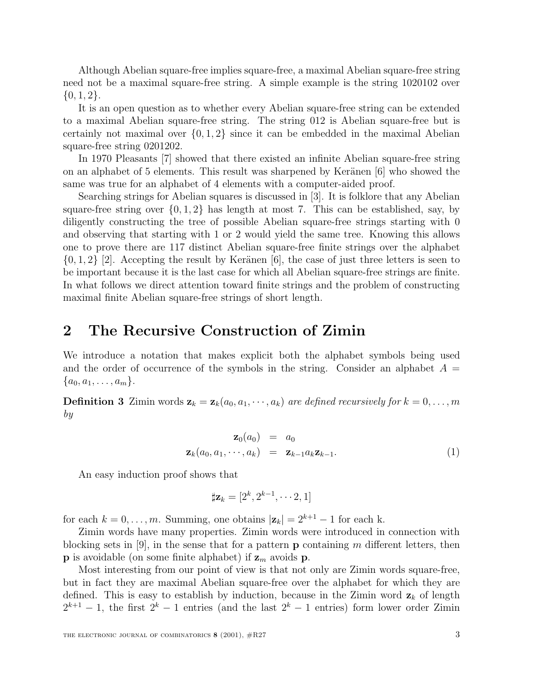Although Abelian square-free implies square-free, a maximal Abelian square-free string need not be a maximal square-free string. A simple example is the string 1020102 over  $\{0, 1, 2\}.$ 

It is an open question as to whether every Abelian square-free string can be extended to a maximal Abelian square-free string. The string 012 is Abelian square-free but is certainly not maximal over  $\{0, 1, 2\}$  since it can be embedded in the maximal Abelian square-free string 0201202.

In 1970 Pleasants [7] showed that there existed an infinite Abelian square-free string on an alphabet of 5 elements. This result was sharpened by Keränen  $|6|$  who showed the same was true for an alphabet of 4 elements with a computer-aided proof.

Searching strings for Abelian squares is discussed in [3]. It is folklore that any Abelian square-free string over  $\{0, 1, 2\}$  has length at most 7. This can be established, say, by diligently constructing the tree of possible Abelian square-free strings starting with 0 and observing that starting with 1 or 2 would yield the same tree. Knowing this allows one to prove there are 117 distinct Abelian square-free finite strings over the alphabet  $\{0, 1, 2\}$  [2]. Accepting the result by Keränen [6], the case of just three letters is seen to be important because it is the last case for which all Abelian square-free strings are finite. In what follows we direct attention toward finite strings and the problem of constructing maximal finite Abelian square-free strings of short length.

### **2 The Recursive Construction of Zimin**

We introduce a notation that makes explicit both the alphabet symbols being used and the order of occurrence of the symbols in the string. Consider an alphabet  $A =$  ${a_0, a_1, \ldots, a_m}.$ 

**Definition 3 Zimin words**  $\mathbf{z}_k = \mathbf{z}_k(a_0, a_1, \dots, a_k)$  **are defined recursively for**  $k = 0, \dots, m$ by

$$
\mathbf{z}_0(a_0) = a_0
$$
  

$$
\mathbf{z}_k(a_0, a_1, \cdots, a_k) = \mathbf{z}_{k-1} a_k \mathbf{z}_{k-1}.
$$
 (1)

An easy induction proof shows that

$$
\sharp \mathbf{z}_k = [2^k, 2^{k-1}, \cdots 2, 1]
$$

for each  $k = 0, \ldots, m$ . Summing, one obtains  $|\mathbf{z}_k| = 2^{k+1} - 1$  for each k.

Zimin words have many properties. Zimin words were introduced in connection with blocking sets in [9], in the sense that for a pattern **p** containing m different letters, then **p** is avoidable (on some finite alphabet) if  $z_m$  avoids **p**.

Most interesting from our point of view is that not only are Zimin words square-free, but in fact they are maximal Abelian square-free over the alphabet for which they are defined. This is easy to establish by induction, because in the Zimin word  $z_k$  of length  $2^{k+1} - 1$ , the first  $2^{k} - 1$  entries (and the last  $2^{k} - 1$  entries) form lower order Zimin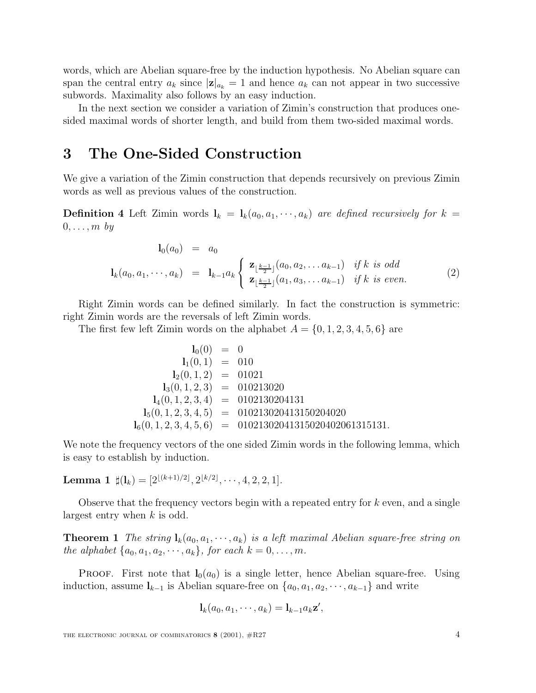words, which are Abelian square-free by the induction hypothesis. No Abelian square can span the central entry  $a_k$  since  $|\mathbf{z}|_{a_k} = 1$  and hence  $a_k$  can not appear in two successive subwords. Maximality also follows by an easy induction.

In the next section we consider a variation of Zimin's construction that produces onesided maximal words of shorter length, and build from them two-sided maximal words.

### **3 The One-Sided Construction**

We give a variation of the Zimin construction that depends recursively on previous Zimin words as well as previous values of the construction.

**Definition 4** Left Zimin words  $\mathbf{l}_k = \mathbf{l}_k(a_0, a_1, \dots, a_k)$  are defined recursively for  $k =$  $0,\ldots,m$  by

$$
\mathbf{l}_{0}(a_{0}) = a_{0}
$$
\n
$$
\mathbf{l}_{k}(a_{0}, a_{1}, \cdots, a_{k}) = \mathbf{l}_{k-1} a_{k} \begin{cases} \mathbf{z}_{\lfloor \frac{k-1}{2} \rfloor}(a_{0}, a_{2}, \ldots a_{k-1}) & \text{if } k \text{ is odd} \\ \mathbf{z}_{\lfloor \frac{k-1}{2} \rfloor}(a_{1}, a_{3}, \ldots a_{k-1}) & \text{if } k \text{ is even.} \end{cases}
$$
\n(2)

Right Zimin words can be defined similarly. In fact the construction is symmetric: right Zimin words are the reversals of left Zimin words.

The first few left Zimin words on the alphabet  $A = \{0, 1, 2, 3, 4, 5, 6\}$  are

$$
l_0(0) = 0
$$
  
\n
$$
l_1(0,1) = 010
$$
  
\n
$$
l_2(0,1,2) = 01021
$$
  
\n
$$
l_3(0,1,2,3) = 010213020
$$
  
\n
$$
l_4(0,1,2,3,4) = 0102130204131
$$
  
\n
$$
l_5(0,1,2,3,4,5) = 010213020413150204020
$$
  
\n
$$
l_6(0,1,2,3,4,5,6) = 01021302041315020402061315131.
$$

We note the frequency vectors of the one sided Zimin words in the following lemma, which is easy to establish by induction.

**Lemma 1**  $\sharp$ (**l**<sub>k</sub>) = [2<sup>[(k+1)/2]</sup>, 2<sup>[k/2]</sup>,  $\cdots$ , 4, 2, 2, 1].

Observe that the frequency vectors begin with a repeated entry for  $k$  even, and a single largest entry when k is odd.

**Theorem 1** The string  $\mathbf{l}_k(a_0, a_1, \dots, a_k)$  is a left maximal Abelian square-free string on the alphabet  $\{a_0, a_1, a_2, \cdots, a_k\}$ , for each  $k = 0, \ldots, m$ .

**PROOF.** First note that  $\mathbf{l}_0(a_0)$  is a single letter, hence Abelian square-free. Using induction, assume  $\mathbf{l}_{k-1}$  is Abelian square-free on  $\{a_0, a_1, a_2, \dots, a_{k-1}\}\$  and write

$$
\mathbf{l}_k(a_0,a_1,\cdots,a_k)=\mathbf{l}_{k-1}a_k\mathbf{z}',
$$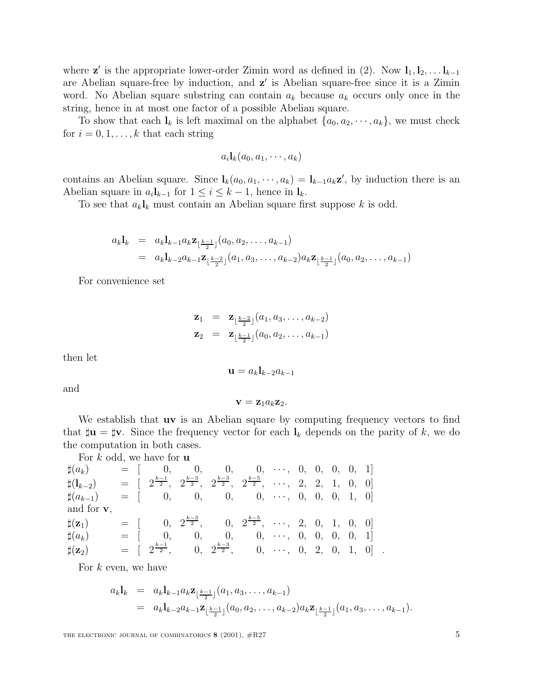where **z**<sup> $\prime$ </sup> is the appropriate lower-order Zimin word as defined in (2). Now **l**<sub>1</sub>, **l**<sub>2</sub>,... **l**<sub>k−1</sub> are Abelian square-free by induction, and **z'** is Abelian square-free since it is a Zimin word. No Abelian square substring can contain  $a_k$  because  $a_k$  occurs only once in the string, hence in at most one factor of a possible Abelian square.

To show that each  $\mathbf{l}_k$  is left maximal on the alphabet  $\{a_0, a_2, \dots, a_k\}$ , we must check for  $i = 0, 1, \ldots, k$  that each string

$$
a_i\mathbf{l}_k(a_0,a_1,\cdots,a_k)
$$

contains an Abelian square. Since  $\mathbf{l}_k(a_0, a_1, \dots, a_k) = \mathbf{l}_{k-1} a_k \mathbf{z}'$ , by induction there is an Abelian square in  $a_i \mathbf{l}_{k-1}$  for  $1 \leq i \leq k-1$ , hence in  $\mathbf{l}_k$ .

To see that  $a_k \mathbf{l}_k$  must contain an Abelian square first suppose k is odd.

$$
a_k \mathbf{1}_k = a_k \mathbf{1}_{k-1} a_k \mathbf{z}_{\lfloor \frac{k-1}{2} \rfloor}(a_0, a_2, \dots, a_{k-1})
$$
  
=  $a_k \mathbf{1}_{k-2} a_{k-1} \mathbf{z}_{\lfloor \frac{k-2}{2} \rfloor}(a_1, a_3, \dots, a_{k-2}) a_k \mathbf{z}_{\lfloor \frac{k-1}{2} \rfloor}(a_0, a_2, \dots, a_{k-1})$ 

For convenience set

$$
\mathbf{z}_1 = \mathbf{z}_{\lfloor \frac{k-2}{2} \rfloor}(a_1, a_3, \dots, a_{k-2})
$$
  

$$
\mathbf{z}_2 = \mathbf{z}_{\lfloor \frac{k-1}{2} \rfloor}(a_0, a_2, \dots, a_{k-1})
$$

then let

$$
\mathbf{u} = a_k \mathbf{l}_{k-2} a_{k-1}
$$

and

$$
\mathbf{v} = \mathbf{z}_1 a_k \mathbf{z}_2.
$$

We establish that **uv** is an Abelian square by computing frequency vectors to find that  $\sharp \mathbf{u} = \sharp \mathbf{v}$ . Since the frequency vector for each  $\mathbf{l}_k$  depends on the parity of k, we do the computation in both cases.

For k odd, we have for **u**  $\sharp(a_k)$  = [ 0, 0, 0, 0, …, 0, 0, 0, 0, 1]  $\sharp (\mathbf{l}_{k-2})$  =  $[\begin{array}{cccccc} 2^{\frac{k-1}{2}}, & 2^{\frac{k-3}{2}}, & 2^{\frac{k-3}{2}}, & 2^{\frac{k-5}{2}}, & \cdots, & 2, & 2, & 1, & 0, & 0 \end{array}]$  $\sharp(a_{k-1}) = [ 0, 0, 0, 0, \cdots, 0, 0, 0, 1, 0]$ and for **v**,  $\sharp(\mathbf{z}_1)$  = [ 0,  $2^{\frac{k-3}{2}},$  0,  $2^{\frac{k-5}{2}},$   $\cdots,$  2, 0, 1, 0, 0]  $\sharp(a_k)$  = [ 0, 0, 0, 0, …, 0, 0, 0, 0, 1]  $\sharp({\bf z}_2) \qquad \quad = \quad [ \quad 2^{\frac{k-1}{2}}, \qquad \ 0, \ \ 2^{\frac{k-3}{2}}, \qquad \ 0, \ \ \cdots, \ \ 0, \ \ 2, \ \ 0, \ \ 1, \ \ 0] \ \ \ .$ 

For  $k$  even, we have

$$
a_k \mathbf{l}_k = a_k \mathbf{l}_{k-1} a_k \mathbf{z}_{\lfloor \frac{k-1}{2} \rfloor}(a_1, a_3, \dots, a_{k-1})
$$
  
=  $a_k \mathbf{l}_{k-2} a_{k-1} \mathbf{z}_{\lfloor \frac{k-1}{2} \rfloor}(a_0, a_2, \dots, a_{k-2}) a_k \mathbf{z}_{\lfloor \frac{k-1}{2} \rfloor}(a_1, a_3, \dots, a_{k-1}).$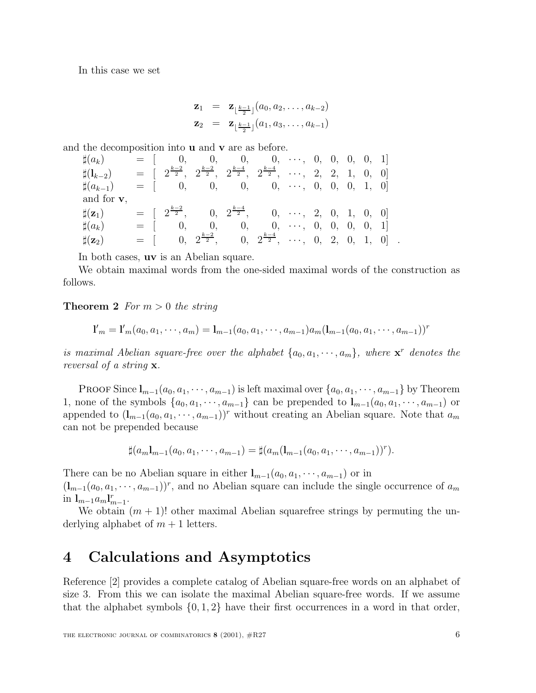In this case we set

$$
\mathbf{z}_1 = \mathbf{z}_{\lfloor \frac{k-1}{2} \rfloor}(a_0, a_2, \dots, a_{k-2})
$$
  

$$
\mathbf{z}_2 = \mathbf{z}_{\lfloor \frac{k-1}{2} \rfloor}(a_1, a_3, \dots, a_{k-1})
$$

and the decomposition into **u** and **v** are as before.

| $\sharp(a_k)$              |  | $= [ 0, 0, 0, 0, \cdots, 0, 0, 0, 0, 1]$                                                                                                                                 |  |  |  |  |  |
|----------------------------|--|--------------------------------------------------------------------------------------------------------------------------------------------------------------------------|--|--|--|--|--|
| $\sharp(\mathbf{l}_{k-2})$ |  | $=$ $\left[\begin{array}{cccccc} 2^{\frac{k-2}{2}}, & 2^{\frac{k-2}{2}}, & 2^{\frac{k-4}{2}}, & 2^{\frac{k-4}{2}}, & \cdots, & 2, & 2, & 1, & 0, & 0 \end{array}\right]$ |  |  |  |  |  |
| $\sharp(a_{k-1})$          |  | $= [ 0, 0, 0, 0, \cdots, 0, 0, 0, 1, 0]$                                                                                                                                 |  |  |  |  |  |
| and for $v$ ,              |  |                                                                                                                                                                          |  |  |  |  |  |
| $\sharp(\mathbf{z}_1)$     |  | $=$ $\left[\begin{array}{cccccc} 2^{\frac{k-2}{2}}, & 0, & 2^{\frac{k-4}{2}}, & 0, & \cdots, & 2, & 0, & 1, & 0, & 0 \end{array}\right]$                                 |  |  |  |  |  |
| $\sharp(a_k)$              |  | $= [ 0, 0, 0, 0, \cdots, 0, 0, 0, 0, 1]$                                                                                                                                 |  |  |  |  |  |
| $\sharp({\bf z}_2)$        |  | $= [$ 0, $2^{\frac{k-2}{2}}$ , 0, $2^{\frac{k-4}{2}}$ , , 0, 2, 0, 1, 0].                                                                                                |  |  |  |  |  |

In both cases, **uv** is an Abelian square.

We obtain maximal words from the one-sided maximal words of the construction as follows.

#### **Theorem 2** For  $m > 0$  the string

$$
\mathbf{1'}_m = \mathbf{1'}_m(a_0, a_1, \cdots, a_m) = \mathbf{1}_{m-1}(a_0, a_1, \cdots, a_{m-1})a_m(\mathbf{1}_{m-1}(a_0, a_1, \cdots, a_{m-1}))^r
$$

is maximal Abelian square-free over the alphabet  $\{a_0, a_1, \dots, a_m\}$ , where  $\mathbf{x}^r$  denotes the reversal of a string **x**.

PROOF Since  $\mathbf{l}_{m-1}(a_0, a_1, \dots, a_{m-1})$  is left maximal over  $\{a_0, a_1, \dots, a_{m-1}\}$  by Theorem 1, none of the symbols  $\{a_0, a_1, \dots, a_{m-1}\}$  can be prepended to  $\mathbf{l}_{m-1}(a_0, a_1, \dots, a_{m-1})$  or appended to  $(\mathbf{l}_{m-1}(a_0, a_1, \dots, a_{m-1}))^r$  without creating an Abelian square. Note that  $a_m$ can not be prepended because

$$
\sharp (a_m\mathbf{1}_{m-1}(a_0,a_1,\cdots,a_{m-1})=\sharp (a_m(\mathbf{1}_{m-1}(a_0,a_1,\cdots,a_{m-1}))^r).
$$

There can be no Abelian square in either  $\mathbf{l}_{m-1}(a_0, a_1, \dots, a_{m-1})$  or in  $(\mathbf{l}_{m-1}(a_0, a_1, \dots, a_{m-1}))^r$ , and no Abelian square can include the single occurrence of  $a_m$ in  $\mathbf{l}_{m-1}a_m \mathbf{l}_{m-1}^r$ .

We obtain  $(m + 1)!$  other maximal Abelian squarefree strings by permuting the underlying alphabet of  $m + 1$  letters.

### **4 Calculations and Asymptotics**

Reference [2] provides a complete catalog of Abelian square-free words on an alphabet of size 3. From this we can isolate the maximal Abelian square-free words. If we assume that the alphabet symbols  $\{0, 1, 2\}$  have their first occurrences in a word in that order,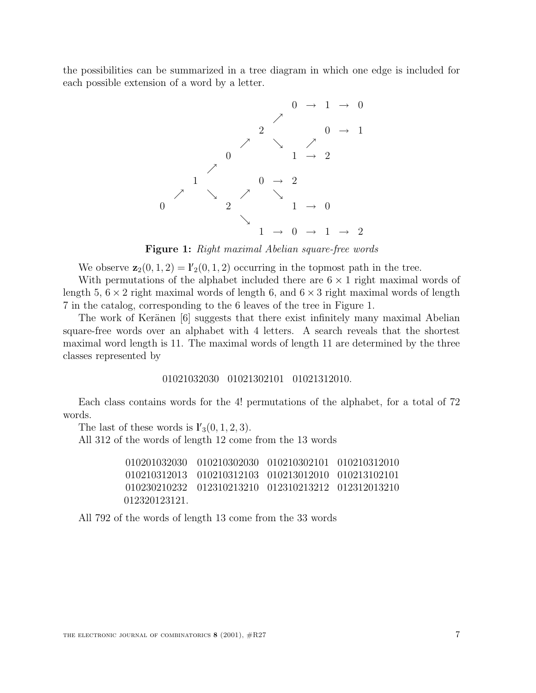the possibilities can be summarized in a tree diagram in which one edge is included for each possible extension of a word by a letter.



**Figure 1:** Right maximal Abelian square-free words

We observe  $\mathbf{z}_2(0, 1, 2) = \mathbf{I}'_2(0, 1, 2)$  occurring in the topmost path in the tree.

With permutations of the alphabet included there are  $6 \times 1$  right maximal words of length 5,  $6 \times 2$  right maximal words of length 6, and  $6 \times 3$  right maximal words of length 7 in the catalog, corresponding to the 6 leaves of the tree in Figure 1.

The work of Keränen [6] suggests that there exist infinitely many maximal Abelian square-free words over an alphabet with 4 letters. A search reveals that the shortest maximal word length is 11. The maximal words of length 11 are determined by the three classes represented by

#### 01021032030 01021302101 01021312010.

Each class contains words for the 4! permutations of the alphabet, for a total of 72 words.

The last of these words is  $\mathbf{l}'_3(0, 1, 2, 3)$ .

All 312 of the words of length 12 come from the 13 words

010201032030 010210302030 010210302101 010210312010 010210312013 010210312103 010213012010 010213102101 010230210232 012310213210 012310213212 012312013210 012320123121.

All 792 of the words of length 13 come from the 33 words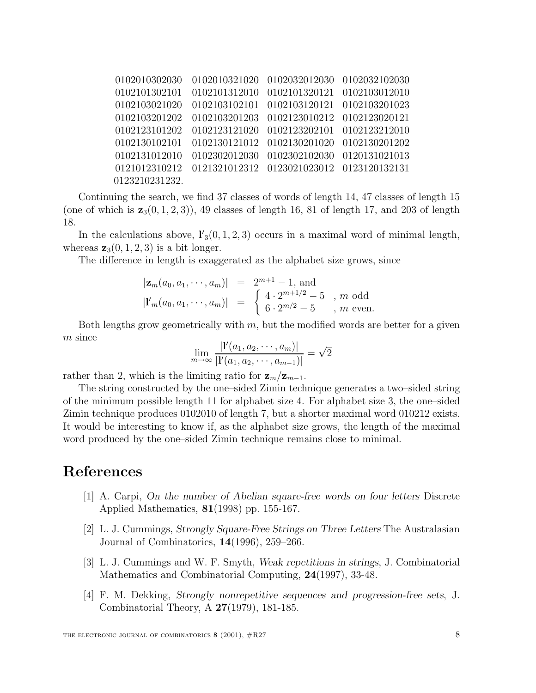| 0102010302030  | 0102010321020 | 0102032012030 0102032102030               |  |
|----------------|---------------|-------------------------------------------|--|
| 0102101302101  | 0102101312010 | 0102101320121 0102103012010               |  |
| 0102103021020  | 0102103102101 | 0102103120121 0102103201023               |  |
| 0102103201202  | 0102103201203 | 0102123010212 0102123020121               |  |
| 0102123101202  | 0102123121020 | 0102123202101 0102123212010               |  |
| 0102130102101  | 0102130121012 | 0102130201020 0102130201202               |  |
| 0102131012010  | 0102302012030 | 0102302102030 0120131021013               |  |
| 0121012310212  |               | 0121321012312 0123021023012 0123120132131 |  |
| 0123210231232. |               |                                           |  |

Continuing the search, we find 37 classes of words of length 14, 47 classes of length 15 (one of which is  $\mathbf{z}_3(0, 1, 2, 3)$ ), 49 classes of length 16, 81 of length 17, and 203 of length 18.

In the calculations above,  $\mathbf{l}'_3(0,1,2,3)$  occurs in a maximal word of minimal length, whereas  $z_3(0, 1, 2, 3)$  is a bit longer.

The difference in length is exaggerated as the alphabet size grows, since

$$
|\mathbf{z}_m(a_0, a_1, \cdots, a_m)|
$$
 =  $2^{m+1} - 1$ , and  
\n $|I'_m(a_0, a_1, \cdots, a_m)|$  =  $\begin{cases} 4 \cdot 2^{m+1/2} - 5, m \text{ odd} \\ 6 \cdot 2^{m/2} - 5, m \text{ even.} \end{cases}$ 

Both lengths grow geometrically with  $m$ , but the modified words are better for a given  $m$  since

$$
\lim_{m \to \infty} \frac{|I'(a_1, a_2, \cdots, a_m)|}{|I'(a_1, a_2, \cdots, a_{m-1})|} = \sqrt{2}
$$

rather than 2, which is the limiting ratio for  $z_m/z_{m-1}$ .

The string constructed by the one–sided Zimin technique generates a two–sided string of the minimum possible length 11 for alphabet size 4. For alphabet size 3, the one–sided Zimin technique produces 0102010 of length 7, but a shorter maximal word 010212 exists. It would be interesting to know if, as the alphabet size grows, the length of the maximal word produced by the one–sided Zimin technique remains close to minimal.

#### **References**

- [1] A. Carpi, *On the number of Abelian square-free words on four letters* Discrete Applied Mathematics, **81**(1998) pp. 155-167.
- [2] L. J. Cummings, *Strongly Square-Free Strings on Three Letters* The Australasian Journal of Combinatorics, **14**(1996), 259–266.
- [3] L. J. Cummings and W. F. Smyth, *Weak repetitions in strings*, J. Combinatorial Mathematics and Combinatorial Computing, **24**(1997), 33-48.
- [4] F. M. Dekking, *Strongly nonrepetitive sequences and progression-free sets*, J. Combinatorial Theory, A **27**(1979), 181-185.